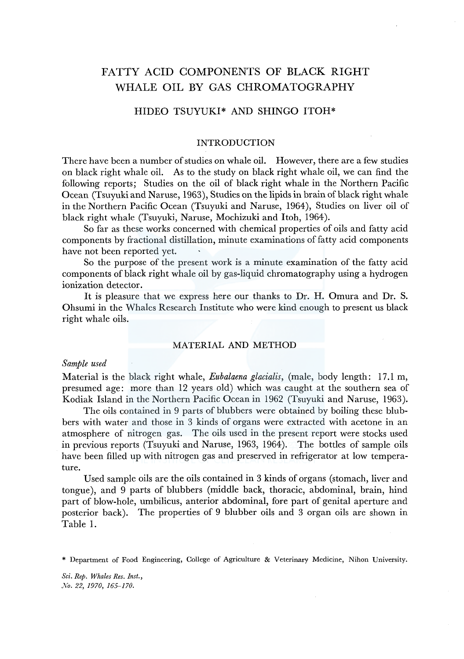# FATTY ACID COMPONENTS OF BLACK RIGHT WHALE OIL BY GAS CHROMATOGRAPHY

# HIDEO TSUYUKI\* AND SHINGO ITOH\*

### INTRODUCTION

There have been a number of studies on whale oil. However, there are a few studies on black right whale oil. As to the study on black right whale oil, we can find the following reports; Studies on the oil of black right whale in the Northern Pacific Ocean (Tsuyuki and Naruse, 1963), Studies on the lipids in brain of black right whale in the Northern Pacific Ocean (Tsuyuki and Naruse, 1964), Studies on liver oil of black right whale (Tsuyuki, Naruse, Mochizuki and Itoh, 1964).

So far as these works concerned with chemical properties of oils and fatty acid components by fractional distillation, minute examinations of fatty acid components have not been reported yet.

So the purpose of the present work is a minute examination of the fatty acid components of black right whale oil by gas-liquid chromatography using a hydrogen ionization detector.

It is pleasure that we express here our thanks to Dr. H. Omura and Dr. S. Ohsumi in the Whales Research Institute who were kind enough to present us black right whale oils.

#### MATERIAL AND METHOD

## *Sample used*

Material is the black right whale, *Eubalaena glacialis*, (male, body length: 17.1 m, presumed age: more than 12 years old) which was caught at the southern sea of Kodiak Island in the Northern Pacific Ocean in 1962 (Tsuyuki and Naruse, 1963).

The oils contained in 9 parts of blubbers were obtained by boiling these blubbers with water and those in 3 kinds of organs were extracted with acetone in an atmosphere of nitrogen gas. The oils used in the present report were stocks used in previous reports (Tsuyuki and Naruse, 1963, 1964). The bottles of sample oils have been filled up with nitrogen gas and preserved in refrigerator at low temperature.

Used sample oils are the oils contained in 3 kinds of organs (stomach, liver and tongue), and 9 parts of blubbers (middle back, thoracic, abdominal, brain, hind part of blow-hole, umbilicus, anterior abdominal, fore part of genital aperture and posterior back). The properties of 9 blubber oils and 3 organ oils are shown in Table 1.

*Sci. Rep. Whales Res. Inst., Xo. 22, 1970, 165-170.* 

<sup>\*</sup> Department of Food Engineering, College of Agriculture & Veterinary Medicine, Nihon University.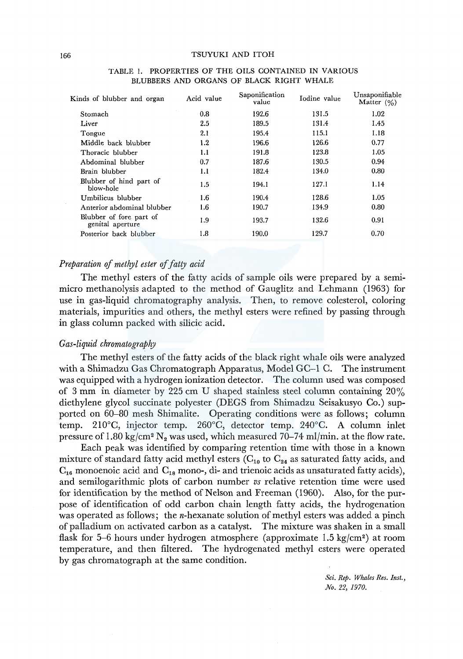| Kinds of blubber and organ                  | Acid value | Saponification<br>value | Iodine value | Unsaponifiable<br>Matter $(9/0)$ |  |  |
|---------------------------------------------|------------|-------------------------|--------------|----------------------------------|--|--|
| Stomach                                     | 0.8        | 192.6                   | 131.5        | 1.02                             |  |  |
| Liver                                       | 2.5        | 189.5                   | 131.4        | 1.45                             |  |  |
| Tongue                                      | 2.1        | 195.4                   | 115.1        | 1.18                             |  |  |
| Middle back blubber                         | 1.2        | 196.6                   | 126.6        | 0.77                             |  |  |
| Thoracic blubber                            | 1.1        | 191.8                   | 123.8        | 1.05                             |  |  |
| Abdominal blubber                           | 0.7        | 187.6                   | 130.5        | 0.94                             |  |  |
| Brain blubber                               | 1.1        | 182.4                   | 134.0        | 0.80                             |  |  |
| Blubber of hind part of<br>blow-hole        | 1.5        | 194.1                   | 127.1        | 1.14                             |  |  |
| Umbilicus blubber                           | $1.6\,$    | 190.4                   | 128.6        | 1.05                             |  |  |
| Anterior abdominal blubber                  | $1.6\,$    | 190.7                   | 134.9        | 0.80                             |  |  |
| Blubber of fore part of<br>genital aperture | 1.9        | 193.7                   | 132.6        | 0.91                             |  |  |
| Posterior back blubber                      | 1.8        | 190.0                   | 129.7        | 0.70                             |  |  |
|                                             |            |                         |              |                                  |  |  |

#### TABLE !. PROPERTIES OF THE OILS CONTAINED IN VARIOUS BLUBBERS AND ORGANS OF BLACK RIGHT WHALE

## *Preparation* of *methyl ester* of *fatty acid*

The methyl esters of the fatty acids of sample oils were prepared by a semimicro methanolysis adapted to the method of Gauglitz and Lehmann (1963) for use in gas-liquid chromatography analysis. Then, to remove colesterol, coloring materials, impurities and others, the methyl esters were refined by passing through in glass column packed with silicic acid.

### *Gas-liquid chromatograpfry*

The methyl esters of the fatty acids of the black right whale oils were analyzed with a Shimadzu Gas Chromatograph Apparatus, Model GC-1 C. The instrument was equipped with a hydrogen ionization detector. The column used was composed of 3 mm in diameter by 225 cm U shaped stainless steel column containing 20% diethylene glycol succinate polyester (DEGS from Shimadzu Seisakusyo Co.) supported on 60-80 mesh Shimalite. Operating conditions were as follows; column temp. 210°C, injector temp. 260°C, detector temp. 240°C. A column inlet pressure of 1.80 kg/cm<sup>2</sup> N<sub>2</sub> was used, which measured 70–74 ml/min. at the flow rate.

Each peak was identified by comparing retention time with those in a known mixture of standard fatty acid methyl esters ( $C_{10}$  to  $C_{24}$  as saturated fatty acids, and  $C_{16}$  monoenoic acid and  $C_{18}$  mono-, di- and trienoic acids as unsaturated fatty acids), and semilogarithmic plots of carbon number *vs* relative retention time were used for identification by the method of Nelson and Freeman (1960). Also, for the purpose of identification of odd carbon chain length fatty acids, the hydrogenation was operated as follows; the n-hexanate solution of methyl esters was added a pinch of palladium on activated carbon as a catalyst. The mixture was shaken in a small flask for 5-6 hours under hydrogen atmosphere (approximate 1.5 kg/cm<sup>2</sup>) at room temperature, and then filtered. The hydrogenated methyl esters were operated by gas chromatograph at the same condition.

> *Sci. Rep. Whales Res. Inst., No. 22, 1970.*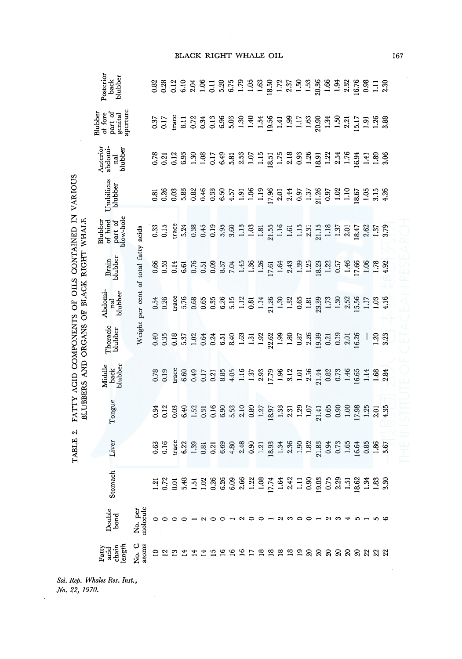|                                                                      | Posterior<br>blubber<br>back                                                                |                                      | 83<br>0.38     |                         |                |             |            |                                      |   |   |                                                                                                        |         |   |  |      |                                                                                                                                                                                                                                                                                                    |       |                                                                                                                                                                                                                                                                                                               |   |    |                                                                    |                                            |  |
|----------------------------------------------------------------------|---------------------------------------------------------------------------------------------|--------------------------------------|----------------|-------------------------|----------------|-------------|------------|--------------------------------------|---|---|--------------------------------------------------------------------------------------------------------|---------|---|--|------|----------------------------------------------------------------------------------------------------------------------------------------------------------------------------------------------------------------------------------------------------------------------------------------------------|-------|---------------------------------------------------------------------------------------------------------------------------------------------------------------------------------------------------------------------------------------------------------------------------------------------------------------|---|----|--------------------------------------------------------------------|--------------------------------------------|--|
|                                                                      | Blubber<br>of fore<br>part of<br>genital<br>aperture                                        |                                      |                | $0.37$<br>0.17<br>trace |                |             |            |                                      |   |   |                                                                                                        |         |   |  |      | $\begin{array}{cccccccccc} 11 & 23 & 35 & 36 & 37 & 37 & 38 & 37 & 38 & 37 & 38 & 37 & 38 & 37 & 38 & 37 & 38 & 37 & 38 & 37 & 38 & 37 & 38 & 39 & 39 & 39 & 31 & 31 & 31 & 32 & 33 & 34 & 35 & 37 & 38 & 38 & 39 & 39 & 39 & 39 & 31 & 31 & 33 & 33 & 33 & 34 & 35 & 37 & 38 & 39 & 39 & 39 & 39$ |       |                                                                                                                                                                                                                                                                                                               |   |    |                                                                    |                                            |  |
|                                                                      | Anterior<br>abdomi-<br>blubber<br>nal                                                       |                                      |                | $\frac{0.78}{0.21}$     | 0.12           | $6.9^\circ$ |            |                                      |   |   |                                                                                                        |         |   |  |      | 3. 8 5 5 6 5 6 7 6 7 6 7 7 8 9 7 8 7 8 9 7 8 7 8 9 7 8 9 7 8 9 7 8 9 7 8 9 7 8 9 7 8 9 7 8 9 7 8 9 7 8 9 7 8 9                                                                                                                                                                                     |       |                                                                                                                                                                                                                                                                                                               |   |    |                                                                    |                                            |  |
| VARIOUS                                                              | Umbilicus<br>blubber                                                                        |                                      | $\overline{8}$ | 0.26                    | 0.03           |             | 33<br>0.82 |                                      |   |   |                                                                                                        |         |   |  |      |                                                                                                                                                                                                                                                                                                    |       |                                                                                                                                                                                                                                                                                                               |   |    |                                                                    |                                            |  |
|                                                                      | Blubber<br>of hind<br>part of<br>blow-hole                                                  |                                      |                | $0.33$<br>0.15          |                |             |            |                                      |   |   |                                                                                                        |         |   |  |      |                                                                                                                                                                                                                                                                                                    |       |                                                                                                                                                                                                                                                                                                               |   |    |                                                                    |                                            |  |
| OILS CONTAINED IN                                                    | Brain<br>blubber                                                                            |                                      | 0.66           | 0.53                    | 0.14           | 6.61        | 0.76       |                                      |   |   | $\begin{array}{c} 0.51 \\ 0.09 \\ 0.37 \\ 7.04 \\ 1.36 \\ 1.26 \\ 1.61 \\ 1.64 \\ 1.36 \\ \end{array}$ |         |   |  | 2.43 |                                                                                                                                                                                                                                                                                                    |       | $\begin{array}{c} 1.39 \\ 1.21 \\ 1.32 \\ 1.31 \\ 1.51 \\ 1.52 \\ 1.53 \\ 1.54 \\ 1.56 \\ 1.56 \\ 1.76 \\ 1.78 \\ 1.74 \\ 1.74 \\ 1.74 \\ 1.74 \\ 1.75 \\ 1.78 \\ 1.79 \\ 1.79 \\ 1.79 \\ 1.79 \\ 1.79 \\ 1.79 \\ 1.79 \\ 1.79 \\ 1.79 \\ 1.79 \\ 1.79 \\ 1.79 \\ 1.79 \\ 1.79 \\ 1.79 \\ 1.79 \\ 1.79 \\ 1.$ |   |    |                                                                    |                                            |  |
|                                                                      | Abdomi-<br>nal<br>blubber                                                                   | Weight per cent of total fatty acids |                | $0.54$<br>$0.26$        | trace          |             | 5.76       |                                      |   |   |                                                                                                        |         |   |  |      |                                                                                                                                                                                                                                                                                                    |       |                                                                                                                                                                                                                                                                                                               |   |    |                                                                    | 1.03                                       |  |
|                                                                      | Thoracic<br>blubber                                                                         |                                      |                |                         |                |             |            |                                      |   |   |                                                                                                        |         |   |  |      |                                                                                                                                                                                                                                                                                                    |       |                                                                                                                                                                                                                                                                                                               |   |    |                                                                    | $\frac{1}{2}$ $\frac{2}{3}$ $\frac{23}{3}$ |  |
| BLUBBERS AND ORGANS OF BLACK RIGHT WHALE<br>FATTY ACID COMPONENTS OF | back<br>blubber<br>Middle                                                                   |                                      | 0.78           | 0.19                    | trace          | 6.60        | 0.49       |                                      |   |   | $\begin{array}{c} 0.17 \\ 0.21 \\ 8.85 \\ 4.05 \\ 1.37 \\ 2.93 \end{array}$                            |         |   |  |      | $17.79$<br>$1.96$<br>$1.31$<br>$1.56$<br>$1.44$<br>$1.32$<br>$1.46$<br>$1.46$<br>$1.46$<br>$1.65$                                                                                                                                                                                                  |       |                                                                                                                                                                                                                                                                                                               |   |    | $\Xi$                                                              | 1.68                                       |  |
|                                                                      | Tongue                                                                                      |                                      |                | $0.34$<br>$0.12$        | 0.03           |             |            | $6.40$<br>$1.52$<br>$0.31$<br>$0.16$ |   |   | $6.33$<br>$0.53$<br>$0.80$                                                                             |         |   |  |      | $\begin{array}{c} 1.27 \\ 1.33 \\ 1.33 \\ 2.31 \\ 1.29 \\ 1.07 \\ \end{array}$                                                                                                                                                                                                                     | 21.41 |                                                                                                                                                                                                                                                                                                               |   |    | $0.96$<br>$0.96$<br>$0.96$<br>$0.96$<br>$0.96$<br>$0.43$<br>$0.43$ |                                            |  |
| c.<br><b>TABLE</b>                                                   | Liver                                                                                       |                                      |                | $0.63$<br>0.16          | trac           |             |            |                                      |   |   |                                                                                                        |         |   |  |      | $22.33$<br>$33.35$<br>$35.35$<br>$35.35$<br>$35.35$<br>$35.35$<br>$35.35$<br>$35.35$<br>$35.35$<br>$35.35$<br>$35.35$<br>$35.35$<br>$35.35$<br>$35.35$                                                                                                                                             |       |                                                                                                                                                                                                                                                                                                               |   |    |                                                                    |                                            |  |
|                                                                      | Stomach                                                                                     |                                      |                | $\frac{1}{2}$ .72       | $\overline{5}$ |             |            |                                      |   |   |                                                                                                        |         |   |  |      |                                                                                                                                                                                                                                                                                                    |       |                                                                                                                                                                                                                                                                                                               |   |    |                                                                    |                                            |  |
|                                                                      | Double<br>bond                                                                              | No. per<br>molecule                  | 0              | $\circ$                 |                |             |            |                                      |   |   |                                                                                                        | $\circ$ |   |  |      |                                                                                                                                                                                                                                                                                                    |       |                                                                                                                                                                                                                                                                                                               | ₩ | r. |                                                                    |                                            |  |
|                                                                      | $\begin{array}{c} \text{Fatty} \\ \text{acid} \\ \text{chain} \\ \text{length} \end{array}$ | No. C<br>atoms                       |                | $\mathbf{C}$            |                |             |            |                                      | ⊵ | ≌ | ≌                                                                                                      | ≌       | ≌ |  |      | <b>2222</b>                                                                                                                                                                                                                                                                                        |       | <b>888888888</b>                                                                                                                                                                                                                                                                                              |   |    |                                                                    |                                            |  |

Sci. Rep. Whales Res. Inst.<sub>:</sub><br>No. 22, 1970.

 $\cdot$ 

# K RIGHT WHALE OIL

167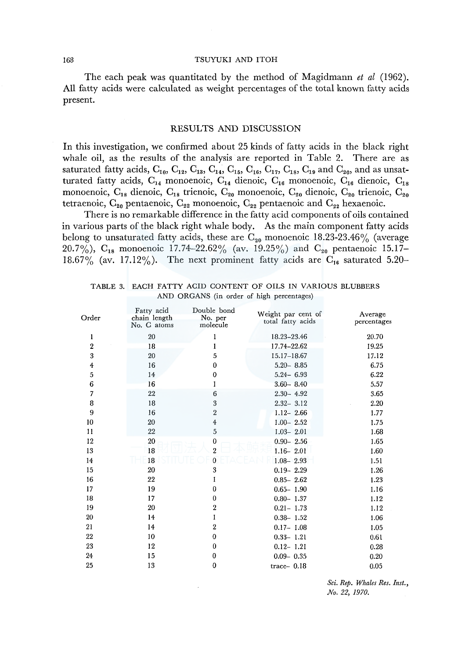#### 168 TSUYUKI AND ITOH

The each peak was quantitated by the method of Magidmann *et al* (1962). All fatty acids were calculated as weight percentages of the total known fatty acids present.

#### RESULTS AND DISCUSSION

In this investigation, we confirmed about 25 kinds of fatty acids in the black right whale oil, as the results of the analysis are reported in Table 2. There are as saturated fatty acids,  $C_{10}$ ,  $C_{12}$ ,  $C_{13}$ ,  $C_{14}$ ,  $C_{15}$ ,  $C_{16}$ ,  $C_{17}$ ,  $C_{18}$ ,  $C_{19}$  and  $C_{20}$ , and as unsatturated fatty acids,  $C_{14}$  monoenoic,  $C_{14}$  dienoic,  $C_{16}$  monoenoic,  $C_{16}$  dienoic,  $C_{18}$ monoenoic,  $C_{18}$  dienoic,  $C_{18}$  trienoic,  $C_{20}$  monoenoic,  $C_{20}$  dienoic,  $C_{20}$  trienoic,  $C_{20}$ tetraenoic,  $C_{20}$  pentaenoic,  $C_{22}$  monoenoic,  $C_{22}$  pentaenoic and  $C_{22}$  hexaenoic.

There is no remarkable difference in the fatty acid components of oils contained in various parts of the black right whale body. As the main component fatty acids belong to unsaturated fatty acids, these are  $C_{20}$  monoenoic 18.23-23.46% (average 20.7%),  $C_{18}$  monoenoic 17.74-22.62% (av. 19.25%) and  $C_{20}$  pentaenoic 15.17-18.67% (av. 17.12%). The next prominent fatty acids are  $C_{16}$  saturated 5.20-

| Order            | Fatty acid<br>chain length<br>No. G atoms | Double bond<br>No. per<br>molecule | Weight par cent of<br>total fatty acids | Average<br>percentages |
|------------------|-------------------------------------------|------------------------------------|-----------------------------------------|------------------------|
| 1                | 20                                        | 1                                  | 18.23-23.46                             | 20.70                  |
| 2                | 18                                        | 1                                  | 17.74-22.62                             | 19.25                  |
| $\boldsymbol{3}$ | 20                                        | 5                                  | 15.17-18.67                             | 17.12                  |
| 4                | 16                                        | $\bf{0}$                           | $5.20 - 8.85$                           | 6.75                   |
| 5                | 14                                        | 0                                  | $5.24 - 6.93$                           | 6.22                   |
| 6                | 16                                        | I                                  | $3.60 - 8.40$                           | 5.57                   |
| 7                | 22                                        | 6                                  | $2.30 - 4.92$                           | 3.65                   |
| 8                | 18                                        | 3                                  | $2.32 - 3.12$                           | 2.20                   |
| 9                | 16                                        | $\overline{2}$                     | $1.12 - 2.66$                           | 1.77                   |
| 10               | 20                                        | $\overline{\mathbf{4}}$            | $1.00 - 2.52$                           | 1.75                   |
| 11               | 22                                        | 5                                  | $1.03 - 2.01$                           | 1.68                   |
| 12               | 20                                        | 0                                  | $0.90 - 2.56$                           | 1.65                   |
| 13               | 18                                        | $\overline{2}$                     | $1.16 - 2.01$                           | 1.60                   |
| 14               | 18                                        | 0                                  | $1.08 - 2.93$                           | 1.51                   |
| 15               | 20                                        | 3                                  | $0.19 - 2.29$                           | 1.26                   |
| 16               | 22                                        | I                                  | $0.85 - 2.62$                           | 1.23                   |
| 17               | 19                                        | $\bf{0}$                           | $0.65 - 1.90$                           | 1.16                   |
| 18               | 17                                        | $\bf{0}$                           | $0.80 - 1.37$                           | 1.12                   |
| 19               | 20                                        | $\overline{2}$                     | $0.21 - 1.73$                           | 1.12                   |
| 20               | 14                                        | 1                                  | $0.38 - 1.52$                           | 1.06                   |
| 21               | 14                                        | 2                                  | $0.17 - 1.08$                           | 1.05                   |
| 22               | 10                                        | 0                                  | $0.33 - 1.21$                           | 0.61                   |
| 23               | 12                                        | $\bf{0}$                           | $0.12 - 1.21$                           | 0.28                   |
| 24               | 15                                        | 0                                  | $0.09 - 0.35$                           | 0.20                   |
| 25               | 13                                        | $\bf{0}$                           | trace- $0.18$                           | 0.05                   |
|                  |                                           |                                    |                                         |                        |

TABLE 3. EACH FATTY ACID CONTENT OF OILS IN VARIOUS BLUBBERS AND ORGANS (in order of high percentages)

*Sci. Rep. Whales Res. Inst., Na. 22, 1970.*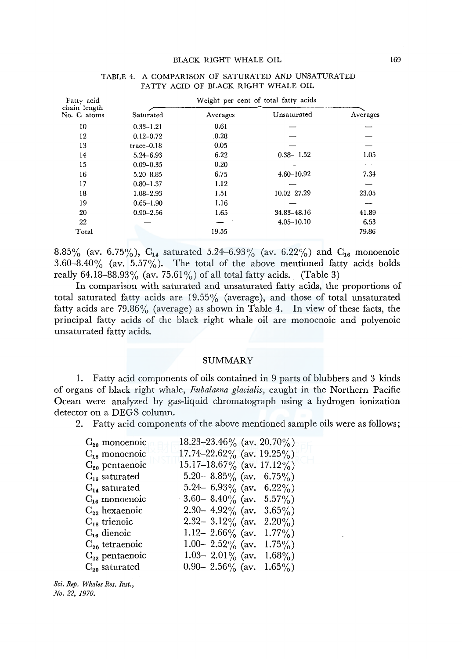| Fatty acid                  |               |          |                |          |
|-----------------------------|---------------|----------|----------------|----------|
| chain length<br>No. G atoms | Saturated     | Averages | Unsaturated    | Averages |
| 10                          | $0.33 - 1.21$ | 0.61     |                |          |
| 12                          | $0.12 - 0.72$ | .0.28    |                |          |
| 13                          | $trace-0.18$  | 0.05     |                |          |
| 14                          | 5.24-6.93     | 6.22     | $0.38 - 1.52$  | 1.05     |
| 15                          | $0.09 - 0.35$ | 0.20     |                |          |
| 16                          | $5.20 - 8.85$ | 6.75     | 4.60-10.92     | 7.34     |
| 17                          | $0.80 - 1.37$ | 1.12     |                |          |
| 18                          | $1.08 - 2.93$ | 1.51     | 10.02-27.29    | 23.05    |
| 19                          | $0.65 - 1.90$ | 1.16     |                |          |
| 20                          | $0.90 - 2.56$ | 1.65     | 34.83-48.16    | 41.89    |
| 22                          |               |          | $4.05 - 10.10$ | 6.53     |
| Total                       |               | 19.55    |                | 79.86    |

#### TABLE 4. A COMPARISON OF SATURATED AND UNSATURATED FATTY ACID OF BLACK RIGHT WHALE OIL

8.85% (av. 6.75%),  $C_{14}$  saturated 5.24-6.93% (av. 6.22%) and  $C_{16}$  monoenoic 3.60-8.40% (av.  $5.57\%$ ). The total of the above mentioned fatty acids holds really 64.18-88.93% (av. 75.61%) of all total fatty acids. (Table 3)

In comparison with saturated and unsaturated fatty acids, the proportions of total saturated fatty acids are  $19.55\%$  (average), and those of total unsaturated fatty acids are  $79.86\%$  (average) as shown in Table 4. In view of these facts, the principal fatty acids of the black right whale oil are monoenoic and polyenoic unsaturated fatty acids.

#### SUMMARY

1. Fatty acid components of oils contained in 9 parts of blubbers and 3 kinds of organs of black right whale, *Eubalaena glacialis,* caught in the Northern Pacific Ocean were analyzed by gas-liquid chromatograph using a hydrogen ionization detector on a DEGS column.

2. Fatty acid components of the above mentioned sample oils were as follows;

| $C_{20}$ monoenoic                   | 18.23-23.46% (av. 20.70%)       |
|--------------------------------------|---------------------------------|
| $C_{18}$ monoenoic                   | $17.74 - 22.62\%$ (av. 19.25%)  |
| $C_{20}$ pentaenoic                  | $15.17 - 18.67\%$ (av. 17.12%)  |
| $\mathrm{C_{16}}$ saturated          | 5.20 – 8.85% (av. 6.75%)        |
| $\mathrm{C}_{\mathbf{14}}$ saturated | 5.24– 6.93% (av. 6.22%)         |
| $C_{16}$ monoenoic                   | 3.60 – 8.40% (av. 5.57%)        |
| $C_{22}$ hexaenoic                   | 2.30 - 4.92% (av.<br>$3.65\%$   |
| $C_{18}$ trienoic                    | 2.32 - 3.12% (av.<br>$2.20\%$ ) |
| $C_{16}$ dienoic                     | 1.12– 2.66% (av.<br>$1.77\%$ )  |
| $C_{20}$ tetraenoic                  | 1.00– 2.52% (av.<br>$1.75\%$    |
| $C_{22}$ pentaenoic                  | 1.03- 2.01% (av.<br>$1.68\%$ )  |
| $C_{20}$ saturated                   | 0.90 - 2.56% (av.<br>$1.65\%$ ) |

*Sci. Rep. Whales Res. Inst., No. 22, 1970.*